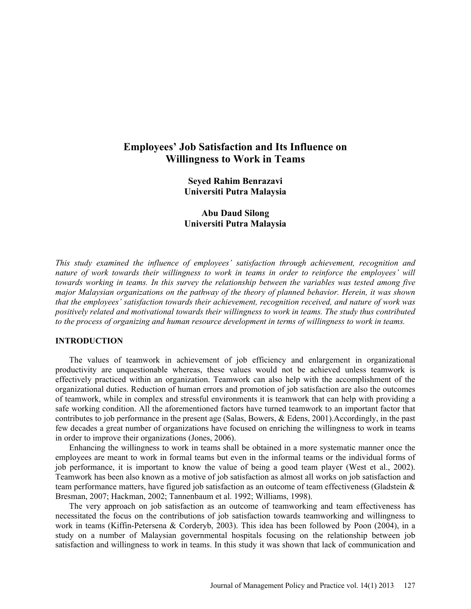# **Employees' Job Satisfaction and Its Influence on Willingness to Work in Teams**

**Seyed Rahim Benrazavi Universiti Putra Malaysia** 

**Abu Daud Silong Universiti Putra Malaysia** 

*This study examined the influence of employees' satisfaction through achievement, recognition and nature of work towards their willingness to work in teams in order to reinforce the employees' will towards working in teams. In this survey the relationship between the variables was tested among five major Malaysian organizations on the pathway of the theory of planned behavior. Herein, it was shown that the employees' satisfaction towards their achievement, recognition received, and nature of work was positively related and motivational towards their willingness to work in teams. The study thus contributed to the process of organizing and human resource development in terms of willingness to work in teams.* 

#### **INTRODUCTION**

The values of teamwork in achievement of job efficiency and enlargement in organizational productivity are unquestionable whereas, these values would not be achieved unless teamwork is effectively practiced within an organization. Teamwork can also help with the accomplishment of the organizational duties. Reduction of human errors and promotion of job satisfaction are also the outcomes of teamwork, while in complex and stressful environments it is teamwork that can help with providing a safe working condition. All the aforementioned factors have turned teamwork to an important factor that contributes to job performance in the present age (Salas, Bowers, & Edens, 2001).Accordingly, in the past few decades a great number of organizations have focused on enriching the willingness to work in teams in order to improve their organizations (Jones, 2006).

Enhancing the willingness to work in teams shall be obtained in a more systematic manner once the employees are meant to work in formal teams but even in the informal teams or the individual forms of job performance, it is important to know the value of being a good team player (West et al., 2002). Teamwork has been also known as a motive of job satisfaction as almost all works on job satisfaction and team performance matters, have figured job satisfaction as an outcome of team effectiveness (Gladstein & Bresman, 2007; Hackman, 2002; Tannenbaum et al. 1992; Williams, 1998).

The very approach on job satisfaction as an outcome of teamworking and team effectiveness has necessitated the focus on the contributions of job satisfaction towards teamworking and willingness to work in teams (Kiffin-Petersena & Corderyb, 2003). This idea has been followed by Poon (2004), in a study on a number of Malaysian governmental hospitals focusing on the relationship between job satisfaction and willingness to work in teams. In this study it was shown that lack of communication and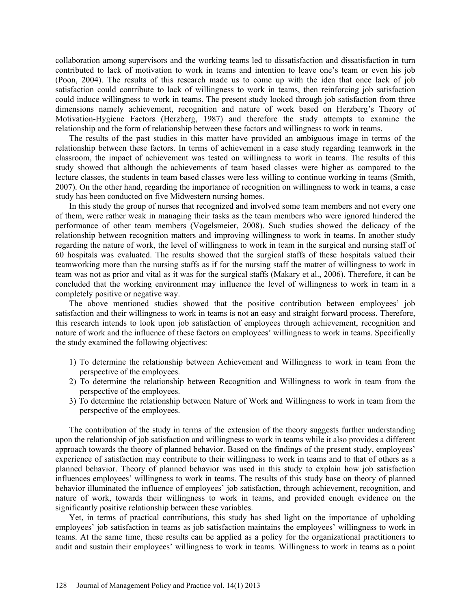collaboration among supervisors and the working teams led to dissatisfaction and dissatisfaction in turn contributed to lack of motivation to work in teams and intention to leave one's team or even his job (Poon, 2004). The results of this research made us to come up with the idea that once lack of job satisfaction could contribute to lack of willingness to work in teams, then reinforcing job satisfaction could induce willingness to work in teams. The present study looked through job satisfaction from three dimensions namely achievement, recognition and nature of work based on Herzberg's Theory of Motivation-Hygiene Factors (Herzberg, 1987) and therefore the study attempts to examine the relationship and the form of relationship between these factors and willingness to work in teams.

The results of the past studies in this matter have provided an ambiguous image in terms of the relationship between these factors. In terms of achievement in a case study regarding teamwork in the classroom, the impact of achievement was tested on willingness to work in teams. The results of this study showed that although the achievements of team based classes were higher as compared to the lecture classes, the students in team based classes were less willing to continue working in teams (Smith, 2007). On the other hand, regarding the importance of recognition on willingness to work in teams, a case study has been conducted on five Midwestern nursing homes.

In this study the group of nurses that recognized and involved some team members and not every one of them, were rather weak in managing their tasks as the team members who were ignored hindered the performance of other team members (Vogelsmeier, 2008). Such studies showed the delicacy of the relationship between recognition matters and improving willingness to work in teams. In another study regarding the nature of work, the level of willingness to work in team in the surgical and nursing staff of 60 hospitals was evaluated. The results showed that the surgical staffs of these hospitals valued their teamworking more than the nursing staffs as if for the nursing staff the matter of willingness to work in team was not as prior and vital as it was for the surgical staffs (Makary et al., 2006). Therefore, it can be concluded that the working environment may influence the level of willingness to work in team in a completely positive or negative way.

The above mentioned studies showed that the positive contribution between employees' job satisfaction and their willingness to work in teams is not an easy and straight forward process. Therefore, this research intends to look upon job satisfaction of employees through achievement, recognition and nature of work and the influence of these factors on employees' willingness to work in teams. Specifically the study examined the following objectives:

- 1) To determine the relationship between Achievement and Willingness to work in team from the perspective of the employees.
- 2) To determine the relationship between Recognition and Willingness to work in team from the perspective of the employees.
- 3) To determine the relationship between Nature of Work and Willingness to work in team from the perspective of the employees.

The contribution of the study in terms of the extension of the theory suggests further understanding upon the relationship of job satisfaction and willingness to work in teams while it also provides a different approach towards the theory of planned behavior. Based on the findings of the present study, employees' experience of satisfaction may contribute to their willingness to work in teams and to that of others as a planned behavior. Theory of planned behavior was used in this study to explain how job satisfaction influences employees' willingness to work in teams. The results of this study base on theory of planned behavior illuminated the influence of employees' job satisfaction, through achievement, recognition, and nature of work, towards their willingness to work in teams, and provided enough evidence on the significantly positive relationship between these variables.

Yet, in terms of practical contributions, this study has shed light on the importance of upholding employees' job satisfaction in teams as job satisfaction maintains the employees' willingness to work in teams. At the same time, these results can be applied as a policy for the organizational practitioners to audit and sustain their employees' willingness to work in teams. Willingness to work in teams as a point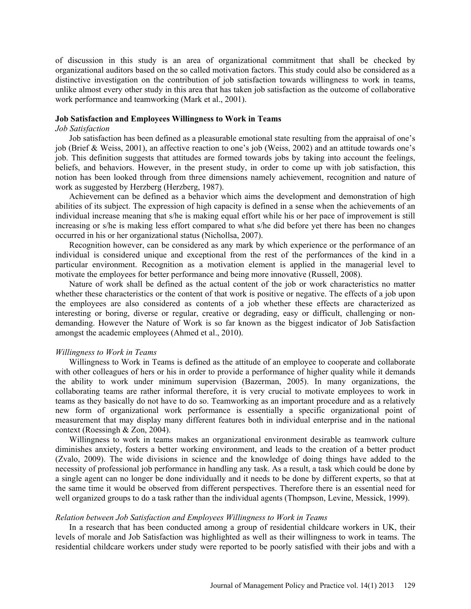of discussion in this study is an area of organizational commitment that shall be checked by organizational auditors based on the so called motivation factors. This study could also be considered as a distinctive investigation on the contribution of job satisfaction towards willingness to work in teams, unlike almost every other study in this area that has taken job satisfaction as the outcome of collaborative work performance and teamworking (Mark et al., 2001).

#### **Job Satisfaction and Employees Willingness to Work in Teams**

### *Job Satisfaction*

Job satisfaction has been defined as a pleasurable emotional state resulting from the appraisal of one's job (Brief & Weiss, 2001), an affective reaction to one's job (Weiss, 2002) and an attitude towards one's job. This definition suggests that attitudes are formed towards jobs by taking into account the feelings, beliefs, and behaviors. However, in the present study, in order to come up with job satisfaction, this notion has been looked through from three dimensions namely achievement, recognition and nature of work as suggested by Herzberg (Herzberg, 1987).

Achievement can be defined as a behavior which aims the development and demonstration of high abilities of its subject. The expression of high capacity is defined in a sense when the achievements of an individual increase meaning that s/he is making equal effort while his or her pace of improvement is still increasing or s/he is making less effort compared to what s/he did before yet there has been no changes occurred in his or her organizational status (Nichollsa, 2007).

Recognition however, can be considered as any mark by which experience or the performance of an individual is considered unique and exceptional from the rest of the performances of the kind in a particular environment. Recognition as a motivation element is applied in the managerial level to motivate the employees for better performance and being more innovative (Russell, 2008).

Nature of work shall be defined as the actual content of the job or work characteristics no matter whether these characteristics or the content of that work is positive or negative. The effects of a job upon the employees are also considered as contents of a job whether these effects are characterized as interesting or boring, diverse or regular, creative or degrading, easy or difficult, challenging or nondemanding. However the Nature of Work is so far known as the biggest indicator of Job Satisfaction amongst the academic employees (Ahmed et al., 2010).

#### *Willingness to Work in Teams*

Willingness to Work in Teams is defined as the attitude of an employee to cooperate and collaborate with other colleagues of hers or his in order to provide a performance of higher quality while it demands the ability to work under minimum supervision (Bazerman, 2005). In many organizations, the collaborating teams are rather informal therefore, it is very crucial to motivate employees to work in teams as they basically do not have to do so. Teamworking as an important procedure and as a relatively new form of organizational work performance is essentially a specific organizational point of measurement that may display many different features both in individual enterprise and in the national context (Roessingh & Zon, 2004).

Willingness to work in teams makes an organizational environment desirable as teamwork culture diminishes anxiety, fosters a better working environment, and leads to the creation of a better product (Zvalo, 2009). The wide divisions in science and the knowledge of doing things have added to the necessity of professional job performance in handling any task. As a result, a task which could be done by a single agent can no longer be done individually and it needs to be done by different experts, so that at the same time it would be observed from different perspectives. Therefore there is an essential need for well organized groups to do a task rather than the individual agents (Thompson, Levine, Messick, 1999).

#### *Relation between Job Satisfaction and Employees Willingness to Work in Teams*

In a research that has been conducted among a group of residential childcare workers in UK, their levels of morale and Job Satisfaction was highlighted as well as their willingness to work in teams. The residential childcare workers under study were reported to be poorly satisfied with their jobs and with a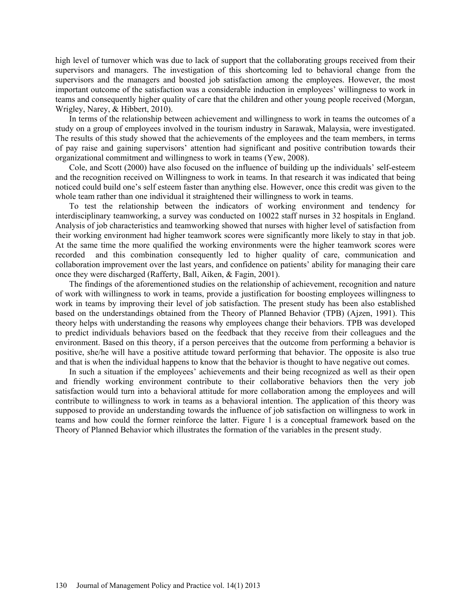high level of turnover which was due to lack of support that the collaborating groups received from their supervisors and managers. The investigation of this shortcoming led to behavioral change from the supervisors and the managers and boosted job satisfaction among the employees. However, the most important outcome of the satisfaction was a considerable induction in employees' willingness to work in teams and consequently higher quality of care that the children and other young people received (Morgan, Wrigley, Narey, & Hibbert, 2010).

In terms of the relationship between achievement and willingness to work in teams the outcomes of a study on a group of employees involved in the tourism industry in Sarawak, Malaysia, were investigated. The results of this study showed that the achievements of the employees and the team members, in terms of pay raise and gaining supervisors' attention had significant and positive contribution towards their organizational commitment and willingness to work in teams (Yew, 2008).

Cole, and Scott (2000) have also focused on the influence of building up the individuals' self-esteem and the recognition received on Willingness to work in teams. In that research it was indicated that being noticed could build one's self esteem faster than anything else. However, once this credit was given to the whole team rather than one individual it straightened their willingness to work in teams.

To test the relationship between the indicators of working environment and tendency for interdisciplinary teamworking, a survey was conducted on 10022 staff nurses in 32 hospitals in England. Analysis of job characteristics and teamworking showed that nurses with higher level of satisfaction from their working environment had higher teamwork scores were significantly more likely to stay in that job. At the same time the more qualified the working environments were the higher teamwork scores were recorded and this combination consequently led to higher quality of care, communication and collaboration improvement over the last years, and confidence on patients' ability for managing their care once they were discharged (Rafferty, Ball, Aiken, & Fagin, 2001).

The findings of the aforementioned studies on the relationship of achievement, recognition and nature of work with willingness to work in teams, provide a justification for boosting employees willingness to work in teams by improving their level of job satisfaction. The present study has been also established based on the understandings obtained from the Theory of Planned Behavior (TPB) (Ajzen, 1991). This theory helps with understanding the reasons why employees change their behaviors. TPB was developed to predict individuals behaviors based on the feedback that they receive from their colleagues and the environment. Based on this theory, if a person perceives that the outcome from performing a behavior is positive, she/he will have a positive attitude toward performing that behavior. The opposite is also true and that is when the individual happens to know that the behavior is thought to have negative out comes.

In such a situation if the employees' achievements and their being recognized as well as their open and friendly working environment contribute to their collaborative behaviors then the very job satisfaction would turn into a behavioral attitude for more collaboration among the employees and will contribute to willingness to work in teams as a behavioral intention. The application of this theory was supposed to provide an understanding towards the influence of job satisfaction on willingness to work in teams and how could the former reinforce the latter. Figure 1 is a conceptual framework based on the Theory of Planned Behavior which illustrates the formation of the variables in the present study.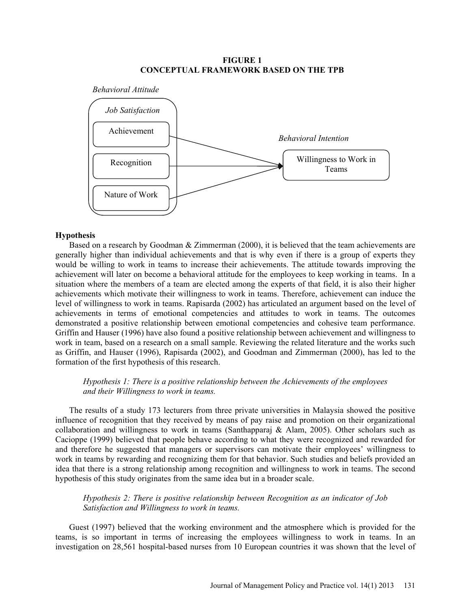## **FIGURE 1 CONCEPTUAL FRAMEWORK BASED ON THE TPB**



#### **Hypothesis**

Based on a research by Goodman & Zimmerman (2000), it is believed that the team achievements are generally higher than individual achievements and that is why even if there is a group of experts they would be willing to work in teams to increase their achievements. The attitude towards improving the achievement will later on become a behavioral attitude for the employees to keep working in teams. In a situation where the members of a team are elected among the experts of that field, it is also their higher achievements which motivate their willingness to work in teams. Therefore, achievement can induce the level of willingness to work in teams. Rapisarda (2002) has articulated an argument based on the level of achievements in terms of emotional competencies and attitudes to work in teams. The outcomes demonstrated a positive relationship between emotional competencies and cohesive team performance. Griffin and Hauser (1996) have also found a positive relationship between achievement and willingness to work in team, based on a research on a small sample. Reviewing the related literature and the works such as Griffin, and Hauser (1996), Rapisarda (2002), and Goodman and Zimmerman (2000), has led to the formation of the first hypothesis of this research.

# *Hypothesis 1: There is a positive relationship between the Achievements of the employees and their Willingness to work in teams.*

The results of a study 173 lecturers from three private universities in Malaysia showed the positive influence of recognition that they received by means of pay raise and promotion on their organizational collaboration and willingness to work in teams (Santhapparaj & Alam, 2005). Other scholars such as Cacioppe (1999) believed that people behave according to what they were recognized and rewarded for and therefore he suggested that managers or supervisors can motivate their employees' willingness to work in teams by rewarding and recognizing them for that behavior. Such studies and beliefs provided an idea that there is a strong relationship among recognition and willingness to work in teams. The second hypothesis of this study originates from the same idea but in a broader scale.

## *Hypothesis 2: There is positive relationship between Recognition as an indicator of Job Satisfaction and Willingness to work in teams.*

Guest (1997) believed that the working environment and the atmosphere which is provided for the teams, is so important in terms of increasing the employees willingness to work in teams. In an investigation on 28,561 hospital-based nurses from 10 European countries it was shown that the level of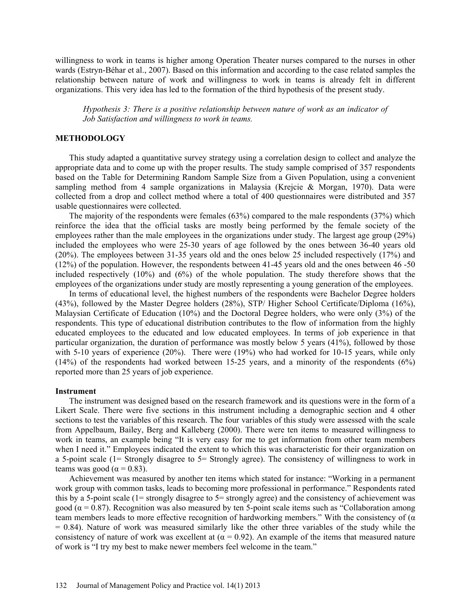willingness to work in teams is higher among Operation Theater nurses compared to the nurses in other wards (Estryn-Béhar et al., 2007). Based on this information and according to the case related samples the relationship between nature of work and willingness to work in teams is already felt in different organizations. This very idea has led to the formation of the third hypothesis of the present study.

*Hypothesis 3: There is a positive relationship between nature of work as an indicator of Job Satisfaction and willingness to work in teams.* 

### **METHODOLOGY**

This study adapted a quantitative survey strategy using a correlation design to collect and analyze the appropriate data and to come up with the proper results. The study sample comprised of 357 respondents based on the Table for Determining Random Sample Size from a Given Population, using a convenient sampling method from 4 sample organizations in Malaysia (Krejcie & Morgan, 1970). Data were collected from a drop and collect method where a total of 400 questionnaires were distributed and 357 usable questionnaires were collected.

The majority of the respondents were females (63%) compared to the male respondents (37%) which reinforce the idea that the official tasks are mostly being performed by the female society of the employees rather than the male employees in the organizations under study. The largest age group (29%) included the employees who were 25-30 years of age followed by the ones between 36-40 years old (20%). The employees between 31-35 years old and the ones below 25 included respectively (17%) and (12%) of the population. However, the respondents between 41-45 years old and the ones between 46 -50 included respectively (10%) and (6%) of the whole population. The study therefore shows that the employees of the organizations under study are mostly representing a young generation of the employees.

In terms of educational level, the highest numbers of the respondents were Bachelor Degree holders (43%), followed by the Master Degree holders (28%), STP/ Higher School Certificate/Diploma (16%), Malaysian Certificate of Education (10%) and the Doctoral Degree holders, who were only (3%) of the respondents. This type of educational distribution contributes to the flow of information from the highly educated employees to the educated and low educated employees. In terms of job experience in that particular organization, the duration of performance was mostly below 5 years (41%), followed by those with 5-10 years of experience (20%). There were (19%) who had worked for 10-15 years, while only (14%) of the respondents had worked between 15-25 years, and a minority of the respondents (6%) reported more than 25 years of job experience.

#### **Instrument**

The instrument was designed based on the research framework and its questions were in the form of a Likert Scale. There were five sections in this instrument including a demographic section and 4 other sections to test the variables of this research. The four variables of this study were assessed with the scale from Appelbaum, Bailey, Berg and Kalleberg (2000). There were ten items to measured willingness to work in teams, an example being "It is very easy for me to get information from other team members when I need it." Employees indicated the extent to which this was characteristic for their organization on a 5-point scale (1= Strongly disagree to 5= Strongly agree). The consistency of willingness to work in teams was good ( $\alpha$  = 0.83).

Achievement was measured by another ten items which stated for instance: "Working in a permanent work group with common tasks, leads to becoming more professional in performance." Respondents rated this by a 5-point scale (1= strongly disagree to 5= strongly agree) and the consistency of achievement was good ( $\alpha$  = 0.87). Recognition was also measured by ten 5-point scale items such as "Collaboration among team members leads to more effective recognition of hardworking members." With the consistency of ( $\alpha$ )  $= 0.84$ ). Nature of work was measured similarly like the other three variables of the study while the consistency of nature of work was excellent at ( $\alpha$  = 0.92). An example of the items that measured nature of work is "I try my best to make newer members feel welcome in the team."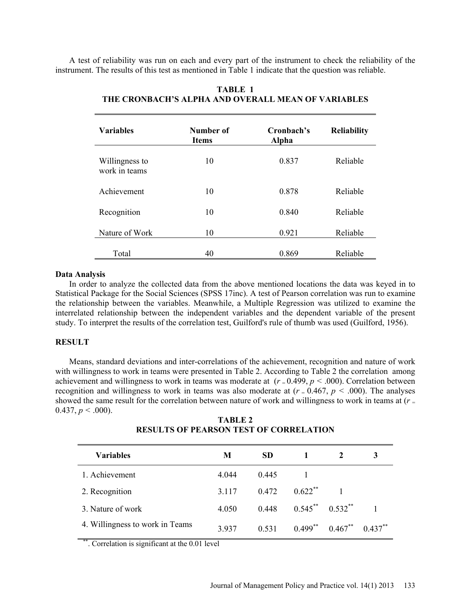A test of reliability was run on each and every part of the instrument to check the reliability of the instrument. The results of this test as mentioned in Table 1 indicate that the question was reliable.

| <b>Variables</b>                | Number of<br><b>Items</b> | Cronbach's<br>Alpha | <b>Reliability</b> |
|---------------------------------|---------------------------|---------------------|--------------------|
| Willingness to<br>work in teams | 10                        | 0.837               | Reliable           |
| Achievement                     | 10                        | 0.878               | Reliable           |
| Recognition                     | 10                        | 0.840               | Reliable           |
| Nature of Work                  | 10                        | 0.921               | Reliable           |
| Total                           | 40                        | 0.869               | Reliable           |

# **TABLE 1 THE CRONBACH'S ALPHA AND OVERALL MEAN OF VARIABLES**

#### **Data Analysis**

In order to analyze the collected data from the above mentioned locations the data was keyed in to Statistical Package for the Social Sciences (SPSS 17inc). A test of Pearson correlation was run to examine the relationship between the variables. Meanwhile, a Multiple Regression was utilized to examine the interrelated relationship between the independent variables and the dependent variable of the present study. To interpret the results of the correlation test, Guilford's rule of thumb was used (Guilford, 1956).

# **RESULT**

Means, standard deviations and inter-correlations of the achievement, recognition and nature of work with willingness to work in teams were presented in Table 2. According to Table 2 the correlation among achievement and willingness to work in teams was moderate at  $(r = 0.499, p < .000)$ . Correlation between recognition and willingness to work in teams was also moderate at  $(r = 0.467, p \le 0.000)$ . The analyses showed the same result for the correlation between nature of work and willingness to work in teams at (*r* <sup>=</sup>  $0.437, p \leq .000$ ).

**TABLE 2 RESULTS OF PEARSON TEST OF CORRELATION** 

| <b>Variables</b>                | M       | <b>SD</b> |            |                           |            |
|---------------------------------|---------|-----------|------------|---------------------------|------------|
| 1. Achievement                  | 4.044   | 0.445     |            |                           |            |
| 2. Recognition                  | 3 1 1 7 | 0.472     | $0.622$ ** |                           |            |
| 3. Nature of work               | 4.050   | 0.448     |            | $0.545$ ** $0.532$ **     |            |
| 4. Willingness to work in Teams | 3937    | 0.531     |            | $0.499^{**}$ $0.467^{**}$ | $0.437***$ |

\*. Correlation is significant at the 0.01 level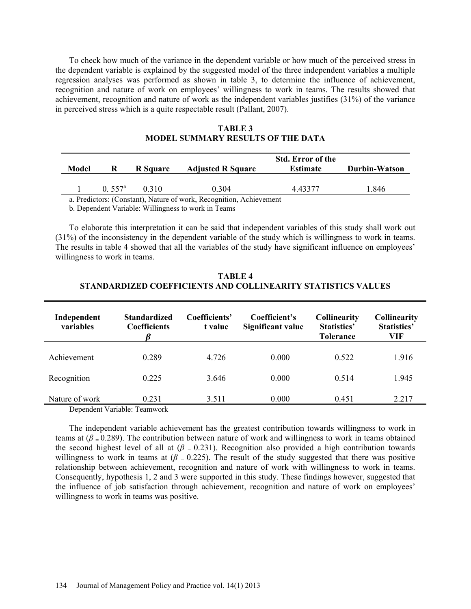To check how much of the variance in the dependent variable or how much of the perceived stress in the dependent variable is explained by the suggested model of the three independent variables a multiple regression analyses was performed as shown in table 3, to determine the influence of achievement, recognition and nature of work on employees' willingness to work in teams. The results showed that achievement, recognition and nature of work as the independent variables justifies (31%) of the variance in perceived stress which is a quite respectable result (Pallant, 2007).

|                                        |                  | Durbin-Watson |
|----------------------------------------|------------------|---------------|
| $0.557$ <sup>a</sup><br>0.304<br>0.310 | 1.846<br>4 43377 |               |

**TABLE 3 MODEL SUMMARY RESULTS OF THE DATA** 

a. Predictors: (Constant), Nature of work, Recognition, Achievement

b. Dependent Variable: Willingness to work in Teams

To elaborate this interpretation it can be said that independent variables of this study shall work out (31%) of the inconsistency in the dependent variable of the study which is willingness to work in teams. The results in table 4 showed that all the variables of the study have significant influence on employees' willingness to work in teams.

| TABLE 4                                                      |
|--------------------------------------------------------------|
| STANDARDIZED COEFFICIENTS AND COLLINEARITY STATISTICS VALUES |

| Independent<br>variables | <b>Standardized</b><br><b>Coefficients</b> | Coefficients'<br>t value | Coefficient's<br>Significant value | <b>Collinearity</b><br>Statistics'<br><b>Tolerance</b> | <b>Collinearity</b><br><b>Statistics'</b><br>VIF |
|--------------------------|--------------------------------------------|--------------------------|------------------------------------|--------------------------------------------------------|--------------------------------------------------|
| Achievement              | 0.289                                      | 4.726                    | 0.000                              | 0.522                                                  | 1.916                                            |
| Recognition              | 0.225                                      | 3.646                    | 0.000                              | 0.514                                                  | 1.945                                            |
| Nature of work           | 0.231<br>$\sim$                            | 3.511                    | 0.000                              | 0.451                                                  | 2.217                                            |

Dependent Variable: Teamwork

The independent variable achievement has the greatest contribution towards willingness to work in teams at  $(\beta = 0.289)$ . The contribution between nature of work and willingness to work in teams obtained the second highest level of all at  $(\beta = 0.231)$ . Recognition also provided a high contribution towards willingness to work in teams at ( $\beta$  = 0.225). The result of the study suggested that there was positive relationship between achievement, recognition and nature of work with willingness to work in teams. Consequently, hypothesis 1, 2 and 3 were supported in this study. These findings however, suggested that the influence of job satisfaction through achievement, recognition and nature of work on employees' willingness to work in teams was positive.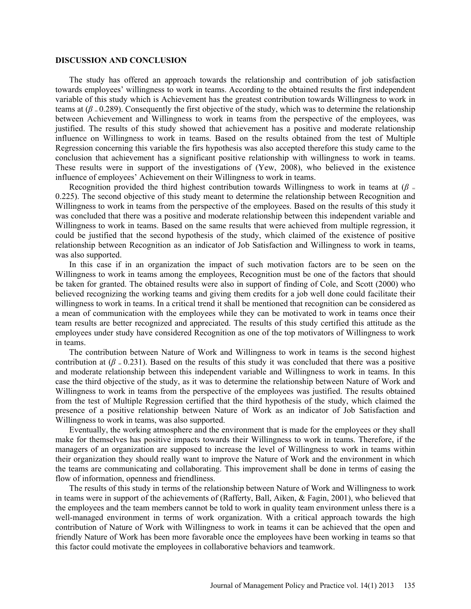#### **DISCUSSION AND CONCLUSION**

The study has offered an approach towards the relationship and contribution of job satisfaction towards employees' willingness to work in teams. According to the obtained results the first independent variable of this study which is Achievement has the greatest contribution towards Willingness to work in teams at  $(\beta = 0.289)$ . Consequently the first objective of the study, which was to determine the relationship between Achievement and Willingness to work in teams from the perspective of the employees, was justified. The results of this study showed that achievement has a positive and moderate relationship influence on Willingness to work in teams. Based on the results obtained from the test of Multiple Regression concerning this variable the firs hypothesis was also accepted therefore this study came to the conclusion that achievement has a significant positive relationship with willingness to work in teams. These results were in support of the investigations of (Yew, 2008), who believed in the existence influence of employees' Achievement on their Willingness to work in teams.

Recognition provided the third highest contribution towards Willingness to work in teams at  $(\beta =$ 0.225). The second objective of this study meant to determine the relationship between Recognition and Willingness to work in teams from the perspective of the employees. Based on the results of this study it was concluded that there was a positive and moderate relationship between this independent variable and Willingness to work in teams. Based on the same results that were achieved from multiple regression, it could be justified that the second hypothesis of the study, which claimed of the existence of positive relationship between Recognition as an indicator of Job Satisfaction and Willingness to work in teams, was also supported.

In this case if in an organization the impact of such motivation factors are to be seen on the Willingness to work in teams among the employees, Recognition must be one of the factors that should be taken for granted. The obtained results were also in support of finding of Cole, and Scott (2000) who believed recognizing the working teams and giving them credits for a job well done could facilitate their willingness to work in teams. In a critical trend it shall be mentioned that recognition can be considered as a mean of communication with the employees while they can be motivated to work in teams once their team results are better recognized and appreciated. The results of this study certified this attitude as the employees under study have considered Recognition as one of the top motivators of Willingness to work in teams.

The contribution between Nature of Work and Willingness to work in teams is the second highest contribution at  $(\beta = 0.231)$ . Based on the results of this study it was concluded that there was a positive and moderate relationship between this independent variable and Willingness to work in teams. In this case the third objective of the study, as it was to determine the relationship between Nature of Work and Willingness to work in teams from the perspective of the employees was justified. The results obtained from the test of Multiple Regression certified that the third hypothesis of the study, which claimed the presence of a positive relationship between Nature of Work as an indicator of Job Satisfaction and Willingness to work in teams, was also supported.

Eventually, the working atmosphere and the environment that is made for the employees or they shall make for themselves has positive impacts towards their Willingness to work in teams. Therefore, if the managers of an organization are supposed to increase the level of Willingness to work in teams within their organization they should really want to improve the Nature of Work and the environment in which the teams are communicating and collaborating. This improvement shall be done in terms of easing the flow of information, openness and friendliness.

The results of this study in terms of the relationship between Nature of Work and Willingness to work in teams were in support of the achievements of (Rafferty, Ball, Aiken, & Fagin, 2001), who believed that the employees and the team members cannot be told to work in quality team environment unless there is a well-managed environment in terms of work organization. With a critical approach towards the high contribution of Nature of Work with Willingness to work in teams it can be achieved that the open and friendly Nature of Work has been more favorable once the employees have been working in teams so that this factor could motivate the employees in collaborative behaviors and teamwork.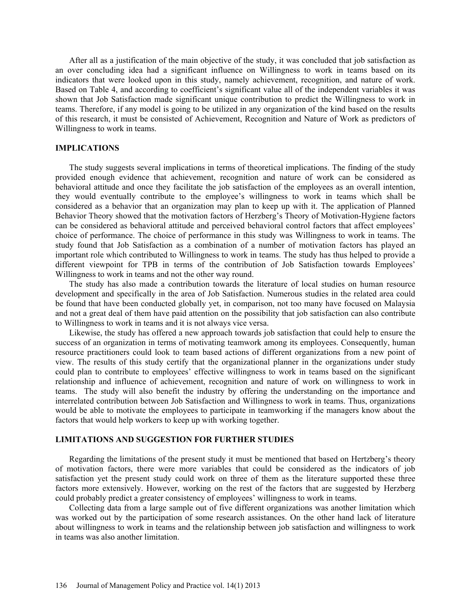After all as a justification of the main objective of the study, it was concluded that job satisfaction as an over concluding idea had a significant influence on Willingness to work in teams based on its indicators that were looked upon in this study, namely achievement, recognition, and nature of work. Based on Table 4, and according to coefficient's significant value all of the independent variables it was shown that Job Satisfaction made significant unique contribution to predict the Willingness to work in teams. Therefore, if any model is going to be utilized in any organization of the kind based on the results of this research, it must be consisted of Achievement, Recognition and Nature of Work as predictors of Willingness to work in teams.

### **IMPLICATIONS**

The study suggests several implications in terms of theoretical implications. The finding of the study provided enough evidence that achievement, recognition and nature of work can be considered as behavioral attitude and once they facilitate the job satisfaction of the employees as an overall intention, they would eventually contribute to the employee's willingness to work in teams which shall be considered as a behavior that an organization may plan to keep up with it. The application of Planned Behavior Theory showed that the motivation factors of Herzberg's Theory of Motivation-Hygiene factors can be considered as behavioral attitude and perceived behavioral control factors that affect employees' choice of performance. The choice of performance in this study was Willingness to work in teams. The study found that Job Satisfaction as a combination of a number of motivation factors has played an important role which contributed to Willingness to work in teams. The study has thus helped to provide a different viewpoint for TPB in terms of the contribution of Job Satisfaction towards Employees' Willingness to work in teams and not the other way round.

The study has also made a contribution towards the literature of local studies on human resource development and specifically in the area of Job Satisfaction. Numerous studies in the related area could be found that have been conducted globally yet, in comparison, not too many have focused on Malaysia and not a great deal of them have paid attention on the possibility that job satisfaction can also contribute to Willingness to work in teams and it is not always vice versa.

Likewise, the study has offered a new approach towards job satisfaction that could help to ensure the success of an organization in terms of motivating teamwork among its employees. Consequently, human resource practitioners could look to team based actions of different organizations from a new point of view. The results of this study certify that the organizational planner in the organizations under study could plan to contribute to employees' effective willingness to work in teams based on the significant relationship and influence of achievement, recognition and nature of work on willingness to work in teams. The study will also benefit the industry by offering the understanding on the importance and interrelated contribution between Job Satisfaction and Willingness to work in teams. Thus, organizations would be able to motivate the employees to participate in teamworking if the managers know about the factors that would help workers to keep up with working together.

# **LIMITATIONS AND SUGGESTION FOR FURTHER STUDIES**

Regarding the limitations of the present study it must be mentioned that based on Hertzberg's theory of motivation factors, there were more variables that could be considered as the indicators of job satisfaction yet the present study could work on three of them as the literature supported these three factors more extensively. However, working on the rest of the factors that are suggested by Herzberg could probably predict a greater consistency of employees' willingness to work in teams.

Collecting data from a large sample out of five different organizations was another limitation which was worked out by the participation of some research assistances. On the other hand lack of literature about willingness to work in teams and the relationship between job satisfaction and willingness to work in teams was also another limitation.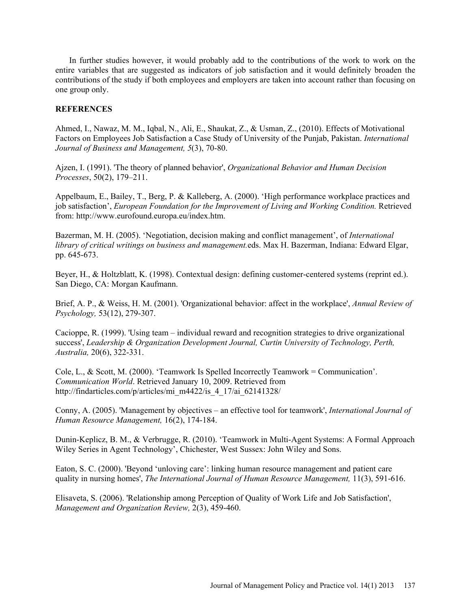In further studies however, it would probably add to the contributions of the work to work on the entire variables that are suggested as indicators of job satisfaction and it would definitely broaden the contributions of the study if both employees and employers are taken into account rather than focusing on one group only.

### **REFERENCES**

Ahmed, I., Nawaz, M. M., Iqbal, N., Ali, E., Shaukat, Z., & Usman, Z., (2010). Effects of Motivational Factors on Employees Job Satisfaction a Case Study of University of the Punjab, Pakistan. *International Journal of Business and Management, 5*(3), 70-80.

Ajzen, I. (1991). 'The theory of planned behavior', *Organizational Behavior and Human Decision Processes*, 50(2), 179–211.

Appelbaum, E., Bailey, T., Berg, P. & Kalleberg, A. (2000). 'High performance workplace practices and job satisfaction', *European Foundation for the Improvement of Living and Working Condition*. Retrieved from: http://www.eurofound.europa.eu/index.htm.

Bazerman, M. H. (2005). 'Negotiation, decision making and conflict management', of *International library of critical writings on business and management.*eds. Max H. Bazerman, Indiana: Edward Elgar, pp. 645-673.

Beyer, H., & Holtzblatt, K. (1998). Contextual design: defining customer-centered systems (reprint ed.). San Diego, CA: Morgan Kaufmann.

Brief, A. P., & Weiss, H. M. (2001). 'Organizational behavior: affect in the workplace', *Annual Review of Psychology,* 53(12), 279-307.

Cacioppe, R. (1999). 'Using team – individual reward and recognition strategies to drive organizational success', *Leadership & Organization Development Journal, Curtin University of Technology, Perth, Australia,* 20(6), 322-331.

Cole, L., & Scott, M. (2000). 'Teamwork Is Spelled Incorrectly Teamwork = Communication'. *Communication World*. Retrieved January 10, 2009. Retrieved from http://findarticles.com/p/articles/mi\_m4422/is\_4\_17/ai\_62141328/

Conny, A. (2005). 'Management by objectives – an effective tool for teamwork', *International Journal of Human Resource Management,* 16(2), 174-184.

Dunin-Keplicz, B. M., & Verbrugge, R. (2010). 'Teamwork in Multi-Agent Systems: A Formal Approach Wiley Series in Agent Technology', Chichester, West Sussex: John Wiley and Sons.

Eaton, S. C. (2000). 'Beyond 'unloving care': linking human resource management and patient care quality in nursing homes', *The International Journal of Human Resource Management,* 11(3), 591-616.

Elisaveta, S. (2006). 'Relationship among Perception of Quality of Work Life and Job Satisfaction', *Management and Organization Review,* 2(3), 459-460.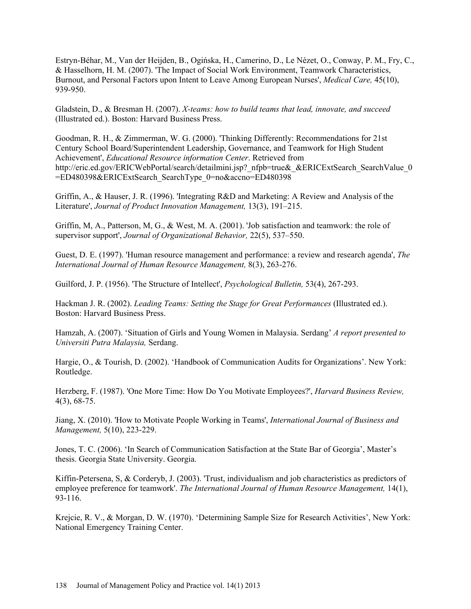Estryn-Béhar, M., Van der Heijden, B., Ogińska, H., Camerino, D., Le Nézet, O., Conway, P. M., Fry, C., & Hasselhorn, H. M. (2007). 'The Impact of Social Work Environment, Teamwork Characteristics, Burnout, and Personal Factors upon Intent to Leave Among European Nurses', *Medical Care,* 45(10), 939-950.

Gladstein, D., & Bresman H. (2007). *X-teams: how to build teams that lead, innovate, and succeed* (Illustrated ed.). Boston: Harvard Business Press.

Goodman, R. H., & Zimmerman, W. G. (2000). 'Thinking Differently: Recommendations for 21st Century School Board/Superintendent Leadership, Governance, and Teamwork for High Student Achievement', *Educational Resource information Center*. Retrieved from http://eric.ed.gov/ERICWebPortal/search/detailmini.jsp? nfpb=true& &ERICExtSearch SearchValue 0 =ED480398&ERICExtSearch\_SearchType\_0=no&accno=ED480398

Griffin, A., & Hauser, J. R. (1996). 'Integrating R&D and Marketing: A Review and Analysis of the Literature', *Journal of Product Innovation Management,* 13(3), 191–215.

Griffin, M, A., Patterson, M, G., & West, M. A. (2001). 'Job satisfaction and teamwork: the role of supervisor support', *Journal of Organizational Behavior,* 22(5), 537–550.

Guest, D. E. (1997). 'Human resource management and performance: a review and research agenda', *The International Journal of Human Resource Management,* 8(3), 263-276.

Guilford, J. P. (1956). 'The Structure of Intellect', *Psychological Bulletin,* 53(4), 267-293.

Hackman J. R. (2002). *Leading Teams: Setting the Stage for Great Performances* (Illustrated ed.). Boston: Harvard Business Press.

Hamzah, A. (2007). 'Situation of Girls and Young Women in Malaysia. Serdang' *A report presented to Universiti Putra Malaysia,* Serdang.

Hargie, O., & Tourish, D. (2002). 'Handbook of Communication Audits for Organizations'. New York: Routledge.

Herzberg, F. (1987). 'One More Time: How Do You Motivate Employees?', *Harvard Business Review,* 4(3), 68-75.

Jiang, X. (2010). 'How to Motivate People Working in Teams', *International Journal of Business and Management,* 5(10), 223-229.

Jones, T. C. (2006). 'In Search of Communication Satisfaction at the State Bar of Georgia', Master's thesis. Georgia State University. Georgia.

Kiffin-Petersena, S, & Corderyb, J. (2003). 'Trust, individualism and job characteristics as predictors of employee preference for teamwork'. *The International Journal of Human Resource Management,* 14(1), 93-116.

Krejcie, R. V., & Morgan, D. W. (1970). 'Determining Sample Size for Research Activities', New York: National Emergency Training Center.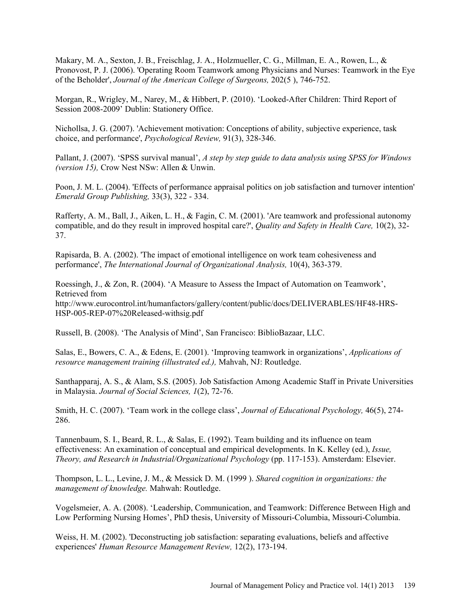Makary, M. A., Sexton, J. B., Freischlag, J. A., Holzmueller, C. G., Millman, E. A., Rowen, L., & Pronovost, P. J. (2006). 'Operating Room Teamwork among Physicians and Nurses: Teamwork in the Eye of the Beholder', *Journal of the American College of Surgeons,* 202(5 ), 746-752.

Morgan, R., Wrigley, M., Narey, M., & Hibbert, P. (2010). 'Looked-After Children: Third Report of Session 2008-2009' Dublin: Stationery Office.

Nichollsa, J. G. (2007). 'Achievement motivation: Conceptions of ability, subjective experience, task choice, and performance', *Psychological Review,* 91(3), 328-346.

Pallant, J. (2007). 'SPSS survival manual', *A step by step guide to data analysis using SPSS for Windows (version 15),* Crow Nest NSw: Allen & Unwin.

Poon, J. M. L. (2004). 'Effects of performance appraisal politics on job satisfaction and turnover intention' *Emerald Group Publishing,* 33(3), 322 - 334.

Rafferty, A. M., Ball, J., Aiken, L. H., & Fagin, C. M. (2001). 'Are teamwork and professional autonomy compatible, and do they result in improved hospital care?', *Quality and Safety in Health Care,* 10(2), 32- 37.

Rapisarda, B. A. (2002). 'The impact of emotional intelligence on work team cohesiveness and performance', *The International Journal of Organizational Analysis,* 10(4), 363-379.

Roessingh, J., & Zon, R. (2004). 'A Measure to Assess the Impact of Automation on Teamwork', Retrieved from http://www.eurocontrol.int/humanfactors/gallery/content/public/docs/DELIVERABLES/HF48-HRS-HSP-005-REP-07%20Released-withsig.pdf

Russell, B. (2008). 'The Analysis of Mind', San Francisco: BiblioBazaar, LLC.

Salas, E., Bowers, C. A., & Edens, E. (2001). 'Improving teamwork in organizations', *Applications of resource management training (illustrated ed.),* Mahvah, NJ: Routledge.

Santhapparaj, A. S., & Alam, S.S. (2005). Job Satisfaction Among Academic Staff in Private Universities in Malaysia. *Journal of Social Sciences, 1*(2), 72-76.

Smith, H. C. (2007). 'Team work in the college class', *Journal of Educational Psychology,* 46(5), 274- 286.

Tannenbaum, S. I., Beard, R. L., & Salas, E. (1992). Team building and its influence on team effectiveness: An examination of conceptual and empirical developments. In K. Kelley (ed.), *Issue, Theory, and Research in Industrial/Organizational Psychology* (pp. 117-153). Amsterdam: Elsevier.

Thompson, L. L., Levine, J. M., & Messick D. M. (1999 ). *Shared cognition in organizations: the management of knowledge.* Mahwah: Routledge.

Vogelsmeier, A. A. (2008). 'Leadership, Communication, and Teamwork: Difference Between High and Low Performing Nursing Homes', PhD thesis, University of Missouri-Columbia, Missouri-Columbia.

Weiss, H. M. (2002). 'Deconstructing job satisfaction: separating evaluations, beliefs and affective experiences' *Human Resource Management Review,* 12(2), 173-194.